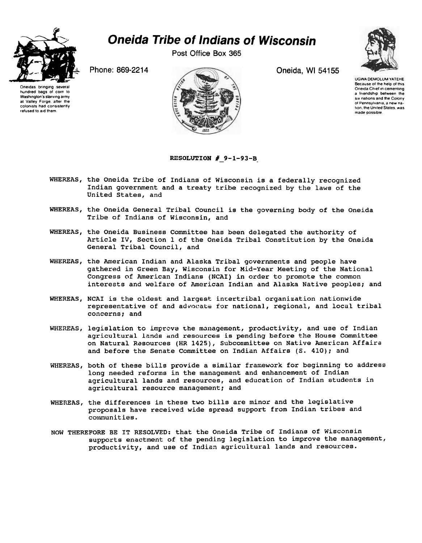

## Oneida Tribe of Indians of Wisconsin

Post Office Box 365



Oneidas bringing several hundred bags of corn to Washington's starving army at Valley Forge, after the colonists had consistently refused to aid them.



UGWA DEMOLUM YATEHE Because 01 the help of this Oneida Chief in cementing a friendship between the six nations and the Colony 01 Pennsylvania a new nation the United States was made possible

## RESOLUTION  $#$  9-1-93-B.

- WHEREAS, the Oneida Tribe of Indians of Wisconsin is a federally recognized Indian government and a treaty tribe recognized by the laws of the United States, and
- WHEREAS, the Oneida General Tribal Council is the governing body of the Oneida Tribe of Indians of Wisconsin, and
- WHEREAS, the Oneida Business Committee has been delegated the authority of Article IV, Section 1 of the Oneida Tribal Constitution by the Oneida General Tribal Council, and
- WHEREAS, the American Indian and Alaska Tribal governments and people have gathered in Green Bay, Wisconsin for Mid-Year Meeting of the National Congress of American Indians (NCAI) in order to promote the common interests and welfare of American Indian and Alaska Native peoples; and
- WHEREAS, NCAI is the oldest and largest intertribal organization nationwide representative of and advocate for national, regional, and local tribal concerns; and
- WHEREAS, legislation to improve the management, productivity, and use of Indian agricultural lands and resources is pending before the House Committee on Natural Resources (HR 1425), Subcommittee on Native American Affairs and before the Senate Committee on Indian Affairs (S. 410); and
- WHEREAS, both of these bills provide a similar framework for beginning to address long needed reforms in the management and enhancement of Indian agricultural lands and resources, and education of Indian students in agricultural resource management; and
- WHEREAS, the differences in these two bills are minor and the legislative proposals have received wide spread support from Indian tribes and communities.
- NOW THEREFORE BE IT RESOLVED: that the Oneida Tribe of Indians of Wisconsin supports enactment of the pending legislation to improve the management, productivity, and use of Indian agricultural lands and resources.